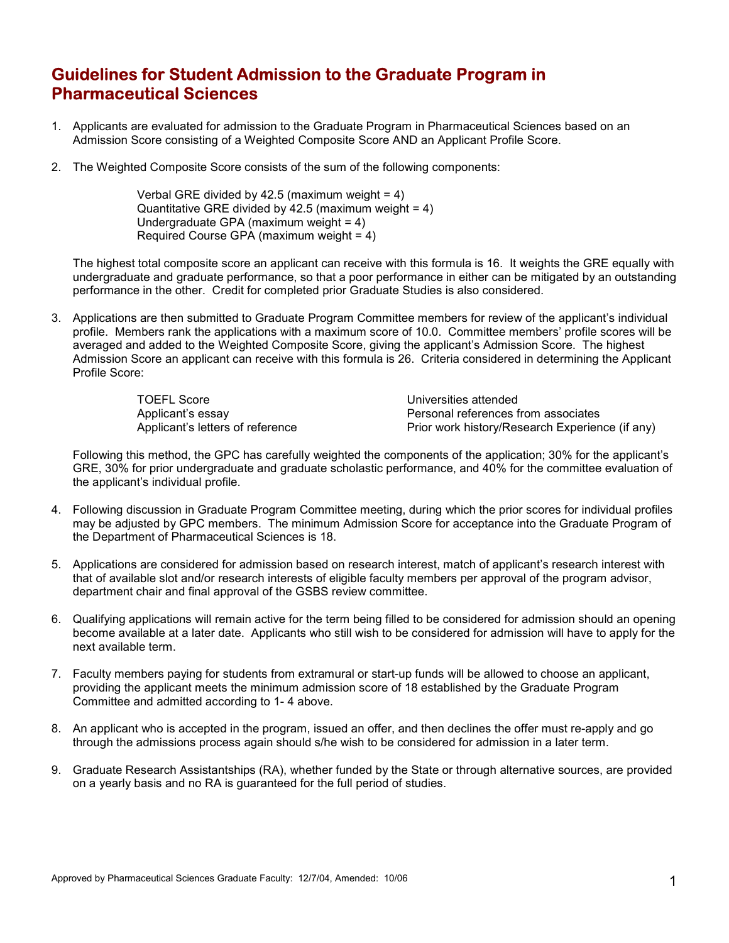## Guidelines for Student Admission to the Graduate Program in Pharmaceutical Sciences

- 1. Applicants are evaluated for admission to the Graduate Program in Pharmaceutical Sciences based on an Admission Score consisting of a Weighted Composite Score AND an Applicant Profile Score.
- 2. The Weighted Composite Score consists of the sum of the following components:

Verbal GRE divided by 42.5 (maximum weight = 4) Quantitative GRE divided by 42.5 (maximum weight  $= 4$ ) Undergraduate GPA (maximum weight = 4) Required Course GPA (maximum weight = 4)

The highest total composite score an applicant can receive with this formula is 16. It weights the GRE equally with undergraduate and graduate performance, so that a poor performance in either can be mitigated by an outstanding performance in the other. Credit for completed prior Graduate Studies is also considered.

3. Applications are then submitted to Graduate Program Committee members for review of the applicant's individual profile. Members rank the applications with a maximum score of 10.0. Committee members' profile scores will be averaged and added to the Weighted Composite Score, giving the applicant's Admission Score. The highest Admission Score an applicant can receive with this formula is 26. Criteria considered in determining the Applicant Profile Score:

> TOEFL Score Applicant's essay Applicant's letters of reference

Universities attended Personal references from associates Prior work history/Research Experience (if any)

Following this method, the GPC has carefully weighted the components of the application; 30% for the applicant's GRE, 30% for prior undergraduate and graduate scholastic performance, and 40% for the committee evaluation of the applicant's individual profile.

- 4. Following discussion in Graduate Program Committee meeting, during which the prior scores for individual profiles may be adjusted by GPC members. The minimum Admission Score for acceptance into the Graduate Program of the Department of Pharmaceutical Sciences is 18.
- 5. Applications are considered for admission based on research interest, match of applicant's research interest with that of available slot and/or research interests of eligible faculty members per approval of the program advisor, department chair and final approval of the GSBS review committee.
- 6. Qualifying applications will remain active for the term being filled to be considered for admission should an opening become available at a later date. Applicants who still wish to be considered for admission will have to apply for the next available term.
- 7. Faculty members paying for students from extramural or start-up funds will be allowed to choose an applicant, providing the applicant meets the minimum admission score of 18 established by the Graduate Program Committee and admitted according to 1- 4 above.
- 8. An applicant who is accepted in the program, issued an offer, and then declines the offer must re-apply and go through the admissions process again should s/he wish to be considered for admission in a later term.
- 9. Graduate Research Assistantships (RA), whether funded by the State or through alternative sources, are provided on a yearly basis and no RA is guaranteed for the full period of studies.